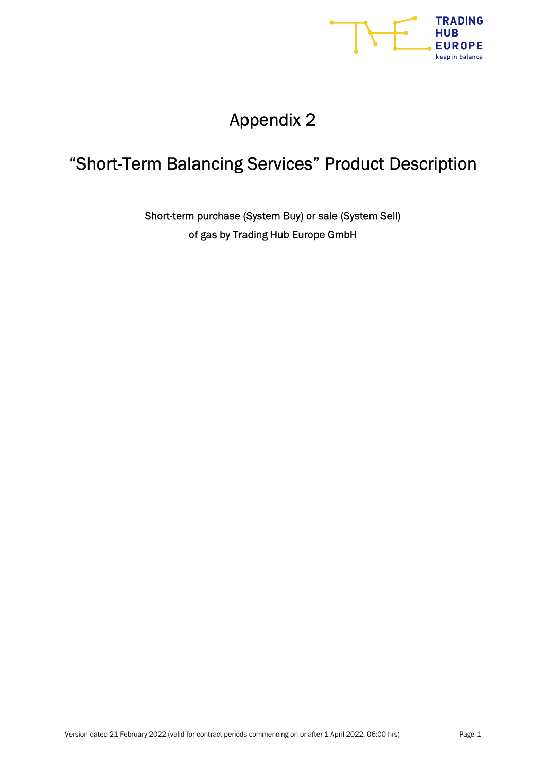

# Appendix 2

## "Short-Term Balancing Services" Product Description

Short-term purchase (System Buy) or sale (System Sell) of gas by Trading Hub Europe GmbH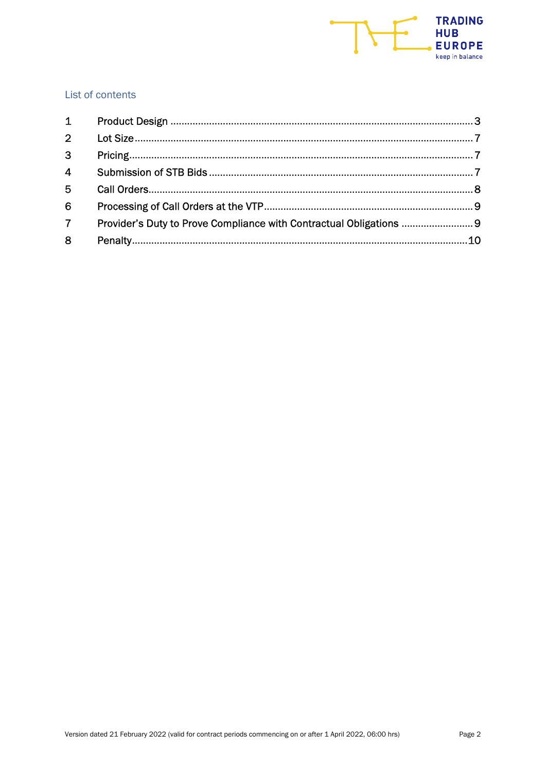

## List of contents

| $\overline{2}$ |                                                                     |  |
|----------------|---------------------------------------------------------------------|--|
| $\overline{3}$ |                                                                     |  |
| $\overline{4}$ |                                                                     |  |
| 5              |                                                                     |  |
| 6              |                                                                     |  |
| $\overline{7}$ | Provider's Duty to Prove Compliance with Contractual Obligations  9 |  |
| 8              |                                                                     |  |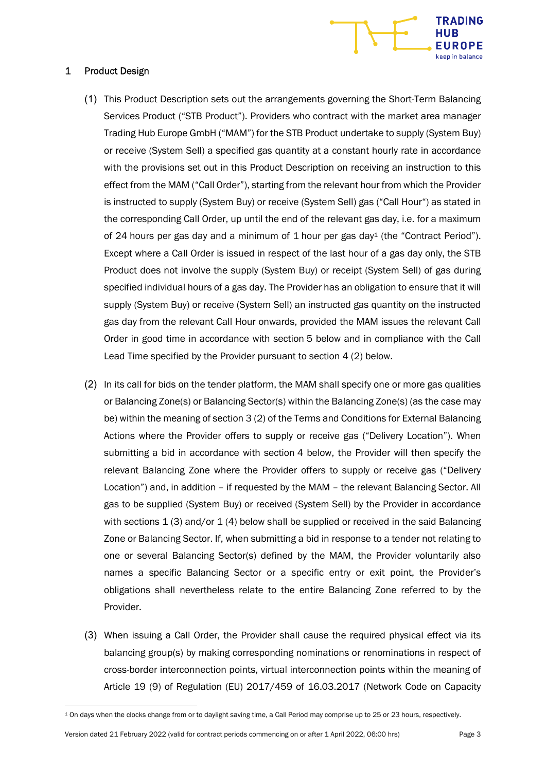

#### 1 Product Design

- (1) This Product Description sets out the arrangements governing the Short-Term Balancing Services Product ("STB Product"). Providers who contract with the market area manager Trading Hub Europe GmbH ("MAM") for the STB Product undertake to supply (System Buy) or receive (System Sell) a specified gas quantity at a constant hourly rate in accordance with the provisions set out in this Product Description on receiving an instruction to this effect from the MAM ("Call Order"), starting from the relevant hour from which the Provider is instructed to supply (System Buy) or receive (System Sell) gas ("Call Hour") as stated in the corresponding Call Order, up until the end of the relevant gas day, i.e. for a maximum of 24 hours per gas day and a minimum of 1 hour per gas day<sup>1</sup> (the "Contract Period"). Except where a Call Order is issued in respect of the last hour of a gas day only, the STB Product does not involve the supply (System Buy) or receipt (System Sell) of gas during specified individual hours of a gas day. The Provider has an obligation to ensure that it will supply (System Buy) or receive (System Sell) an instructed gas quantity on the instructed gas day from the relevant Call Hour onwards, provided the MAM issues the relevant Call Order in good time in accordance with section 5 below and in compliance with the Call Lead Time specified by the Provider pursuant to section 4 (2) below.
- (2) In its call for bids on the tender platform, the MAM shall specify one or more gas qualities or Balancing Zone(s) or Balancing Sector(s) within the Balancing Zone(s) (as the case may be) within the meaning of section 3 (2) of the Terms and Conditions for External Balancing Actions where the Provider offers to supply or receive gas ("Delivery Location"). When submitting a bid in accordance with section 4 below, the Provider will then specify the relevant Balancing Zone where the Provider offers to supply or receive gas ("Delivery Location") and, in addition – if requested by the MAM – the relevant Balancing Sector. All gas to be supplied (System Buy) or received (System Sell) by the Provider in accordance with sections  $1(3)$  and/or  $1(4)$  below shall be supplied or received in the said Balancing Zone or Balancing Sector. If, when submitting a bid in response to a tender not relating to one or several Balancing Sector(s) defined by the MAM, the Provider voluntarily also names a specific Balancing Sector or a specific entry or exit point, the Provider's obligations shall nevertheless relate to the entire Balancing Zone referred to by the Provider.
- (3) When issuing a Call Order, the Provider shall cause the required physical effect via its balancing group(s) by making corresponding nominations or renominations in respect of cross-border interconnection points, virtual interconnection points within the meaning of Article 19 (9) of Regulation (EU) 2017/459 of 16.03.2017 (Network Code on Capacity

Version dated 21 February 2022 (valid for contract periods commencing on or after 1 April 2022, 06:00 hrs) Page 3

<sup>1</sup> On days when the clocks change from or to daylight saving time, a Call Period may comprise up to 25 or 23 hours, respectively.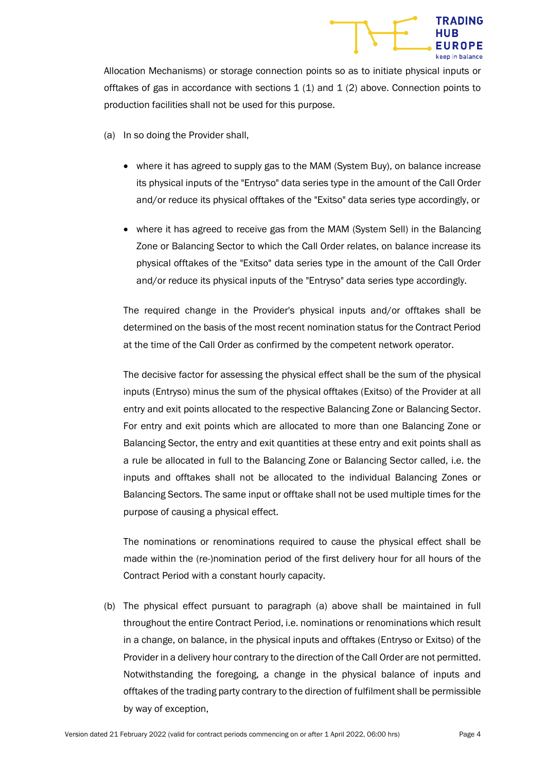

Allocation Mechanisms) or storage connection points so as to initiate physical inputs or offtakes of gas in accordance with sections  $1(1)$  and  $1(2)$  above. Connection points to production facilities shall not be used for this purpose.

- (a) In so doing the Provider shall,
	- where it has agreed to supply gas to the MAM (System Buy), on balance increase its physical inputs of the "Entryso" data series type in the amount of the Call Order and/or reduce its physical offtakes of the "Exitso" data series type accordingly, or
	- where it has agreed to receive gas from the MAM (System Sell) in the Balancing Zone or Balancing Sector to which the Call Order relates, on balance increase its physical offtakes of the "Exitso" data series type in the amount of the Call Order and/or reduce its physical inputs of the "Entryso" data series type accordingly.

The required change in the Provider's physical inputs and/or offtakes shall be determined on the basis of the most recent nomination status for the Contract Period at the time of the Call Order as confirmed by the competent network operator.

The decisive factor for assessing the physical effect shall be the sum of the physical inputs (Entryso) minus the sum of the physical offtakes (Exitso) of the Provider at all entry and exit points allocated to the respective Balancing Zone or Balancing Sector. For entry and exit points which are allocated to more than one Balancing Zone or Balancing Sector, the entry and exit quantities at these entry and exit points shall as a rule be allocated in full to the Balancing Zone or Balancing Sector called, i.e. the inputs and offtakes shall not be allocated to the individual Balancing Zones or Balancing Sectors. The same input or offtake shall not be used multiple times for the purpose of causing a physical effect.

The nominations or renominations required to cause the physical effect shall be made within the (re-)nomination period of the first delivery hour for all hours of the Contract Period with a constant hourly capacity.

(b) The physical effect pursuant to paragraph (a) above shall be maintained in full throughout the entire Contract Period, i.e. nominations or renominations which result in a change, on balance, in the physical inputs and offtakes (Entryso or Exitso) of the Provider in a delivery hour contrary to the direction of the Call Order are not permitted. Notwithstanding the foregoing, a change in the physical balance of inputs and offtakes of the trading party contrary to the direction of fulfilment shall be permissible by way of exception,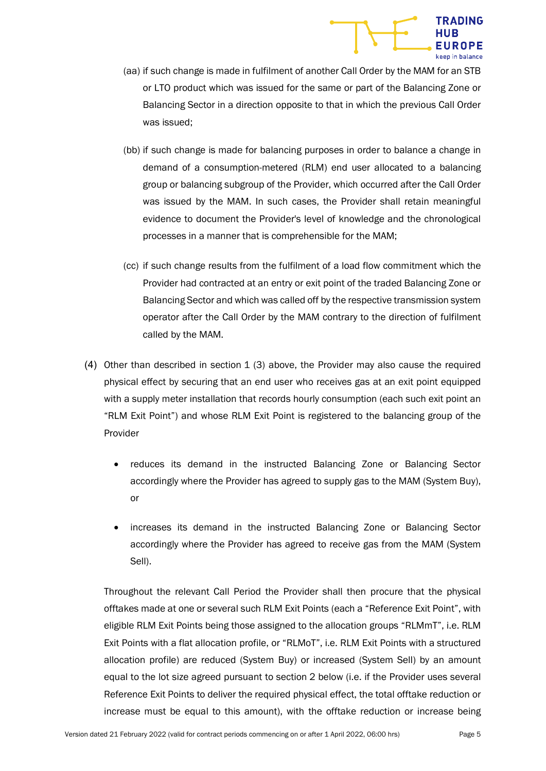

- (aa) if such change is made in fulfilment of another Call Order by the MAM for an STB or LTO product which was issued for the same or part of the Balancing Zone or Balancing Sector in a direction opposite to that in which the previous Call Order was issued;
- (bb) if such change is made for balancing purposes in order to balance a change in demand of a consumption-metered (RLM) end user allocated to a balancing group or balancing subgroup of the Provider, which occurred after the Call Order was issued by the MAM. In such cases, the Provider shall retain meaningful evidence to document the Provider's level of knowledge and the chronological processes in a manner that is comprehensible for the MAM;
- (cc) if such change results from the fulfilment of a load flow commitment which the Provider had contracted at an entry or exit point of the traded Balancing Zone or Balancing Sector and which was called off by the respective transmission system operator after the Call Order by the MAM contrary to the direction of fulfilment called by the MAM.
- (4) Other than described in section 1 (3) above, the Provider may also cause the required physical effect by securing that an end user who receives gas at an exit point equipped with a supply meter installation that records hourly consumption (each such exit point an "RLM Exit Point") and whose RLM Exit Point is registered to the balancing group of the Provider
	- reduces its demand in the instructed Balancing Zone or Balancing Sector accordingly where the Provider has agreed to supply gas to the MAM (System Buy), or
	- increases its demand in the instructed Balancing Zone or Balancing Sector accordingly where the Provider has agreed to receive gas from the MAM (System Sell).

Throughout the relevant Call Period the Provider shall then procure that the physical offtakes made at one or several such RLM Exit Points (each a "Reference Exit Point", with eligible RLM Exit Points being those assigned to the allocation groups "RLMmT", i.e. RLM Exit Points with a flat allocation profile, or "RLMoT", i.e. RLM Exit Points with a structured allocation profile) are reduced (System Buy) or increased (System Sell) by an amount equal to the lot size agreed pursuant to section 2 below (i.e. if the Provider uses several Reference Exit Points to deliver the required physical effect, the total offtake reduction or increase must be equal to this amount), with the offtake reduction or increase being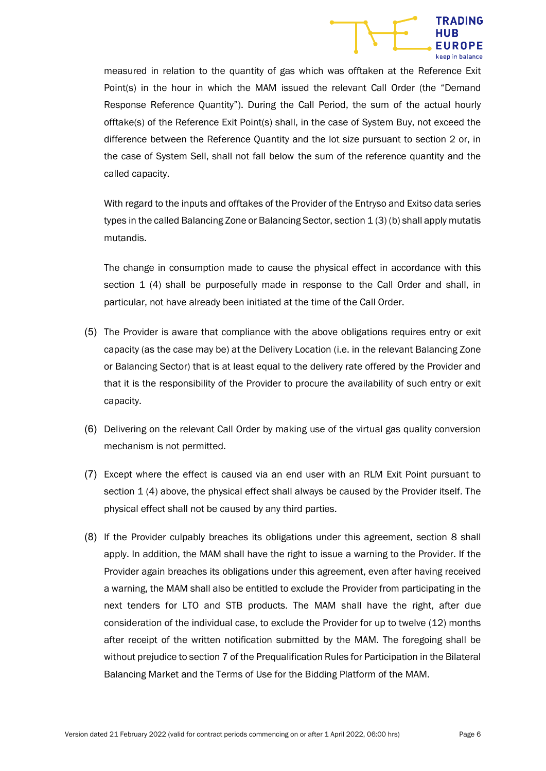

measured in relation to the quantity of gas which was offtaken at the Reference Exit Point(s) in the hour in which the MAM issued the relevant Call Order (the "Demand Response Reference Quantity"). During the Call Period, the sum of the actual hourly offtake(s) of the Reference Exit Point(s) shall, in the case of System Buy, not exceed the difference between the Reference Quantity and the lot size pursuant to section 2 or, in the case of System Sell, shall not fall below the sum of the reference quantity and the called capacity.

With regard to the inputs and offtakes of the Provider of the Entryso and Exitso data series types in the called Balancing Zone or Balancing Sector, section 1 (3) (b) shall apply mutatis mutandis.

The change in consumption made to cause the physical effect in accordance with this section 1 (4) shall be purposefully made in response to the Call Order and shall, in particular, not have already been initiated at the time of the Call Order.

- (5) The Provider is aware that compliance with the above obligations requires entry or exit capacity (as the case may be) at the Delivery Location (i.e. in the relevant Balancing Zone or Balancing Sector) that is at least equal to the delivery rate offered by the Provider and that it is the responsibility of the Provider to procure the availability of such entry or exit capacity.
- (6) Delivering on the relevant Call Order by making use of the virtual gas quality conversion mechanism is not permitted.
- (7) Except where the effect is caused via an end user with an RLM Exit Point pursuant to section 1 (4) above, the physical effect shall always be caused by the Provider itself. The physical effect shall not be caused by any third parties.
- (8) If the Provider culpably breaches its obligations under this agreement, section 8 shall apply. In addition, the MAM shall have the right to issue a warning to the Provider. If the Provider again breaches its obligations under this agreement, even after having received a warning, the MAM shall also be entitled to exclude the Provider from participating in the next tenders for LTO and STB products. The MAM shall have the right, after due consideration of the individual case, to exclude the Provider for up to twelve (12) months after receipt of the written notification submitted by the MAM. The foregoing shall be without prejudice to section 7 of the Prequalification Rules for Participation in the Bilateral Balancing Market and the Terms of Use for the Bidding Platform of the MAM.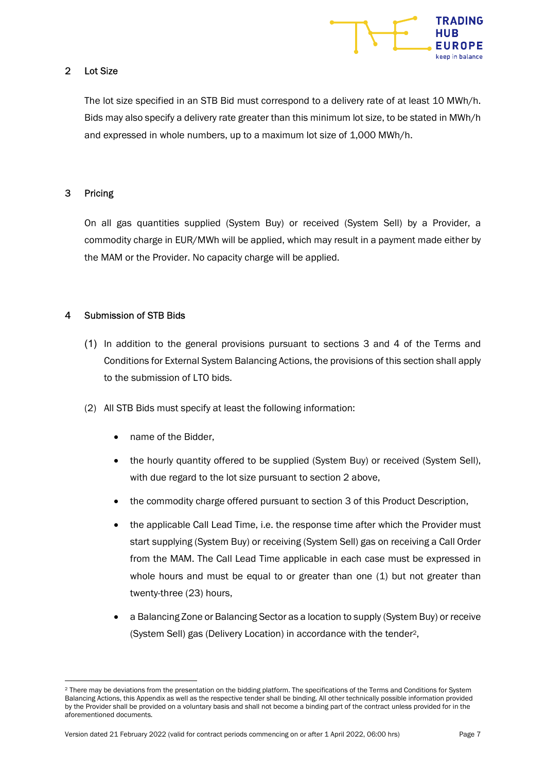

## 2 Lot Size

The lot size specified in an STB Bid must correspond to a delivery rate of at least 10 MWh/h. Bids may also specify a delivery rate greater than this minimum lot size, to be stated in MWh/h and expressed in whole numbers, up to a maximum lot size of 1,000 MWh/h.

## 3 Pricing

On all gas quantities supplied (System Buy) or received (System Sell) by a Provider, a commodity charge in EUR/MWh will be applied, which may result in a payment made either by the MAM or the Provider. No capacity charge will be applied.

## 4 Submission of STB Bids

- (1) In addition to the general provisions pursuant to sections 3 and 4 of the Terms and Conditions for External System Balancing Actions, the provisions of this section shall apply to the submission of LTO bids.
- (2) All STB Bids must specify at least the following information:
	- name of the Bidder,
	- the hourly quantity offered to be supplied (System Buy) or received (System Sell), with due regard to the lot size pursuant to section 2 above,
	- the commodity charge offered pursuant to section 3 of this Product Description,
	- the applicable Call Lead Time, i.e. the response time after which the Provider must start supplying (System Buy) or receiving (System Sell) gas on receiving a Call Order from the MAM. The Call Lead Time applicable in each case must be expressed in whole hours and must be equal to or greater than one (1) but not greater than twenty-three (23) hours,
	- a Balancing Zone or Balancing Sector as a location to supply (System Buy) or receive (System Sell) gas (Delivery Location) in accordance with the tender2,

<sup>&</sup>lt;sup>2</sup> There may be deviations from the presentation on the bidding platform. The specifications of the Terms and Conditions for System Balancing Actions, this Appendix as well as the respective tender shall be binding. All other technically possible information provided by the Provider shall be provided on a voluntary basis and shall not become a binding part of the contract unless provided for in the aforementioned documents.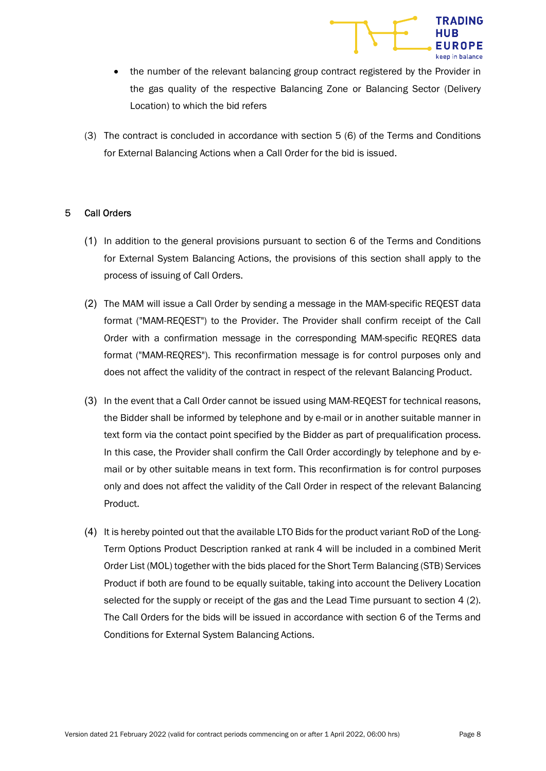

- the number of the relevant balancing group contract registered by the Provider in the gas quality of the respective Balancing Zone or Balancing Sector (Delivery Location) to which the bid refers
- (3) The contract is concluded in accordance with section 5 (6) of the Terms and Conditions for External Balancing Actions when a Call Order for the bid is issued.

#### 5 Call Orders

- (1) In addition to the general provisions pursuant to section 6 of the Terms and Conditions for External System Balancing Actions, the provisions of this section shall apply to the process of issuing of Call Orders.
- (2) The MAM will issue a Call Order by sending a message in the MAM-specific REQEST data format ("MAM-REQEST") to the Provider. The Provider shall confirm receipt of the Call Order with a confirmation message in the corresponding MAM-specific REQRES data format ("MAM-REQRES"). This reconfirmation message is for control purposes only and does not affect the validity of the contract in respect of the relevant Balancing Product.
- (3) In the event that a Call Order cannot be issued using MAM-REQEST for technical reasons, the Bidder shall be informed by telephone and by e-mail or in another suitable manner in text form via the contact point specified by the Bidder as part of prequalification process. In this case, the Provider shall confirm the Call Order accordingly by telephone and by email or by other suitable means in text form. This reconfirmation is for control purposes only and does not affect the validity of the Call Order in respect of the relevant Balancing Product.
- (4) It is hereby pointed out that the available LTO Bids for the product variant RoD of the Long-Term Options Product Description ranked at rank 4 will be included in a combined Merit Order List (MOL) together with the bids placed for the Short Term Balancing (STB) Services Product if both are found to be equally suitable, taking into account the Delivery Location selected for the supply or receipt of the gas and the Lead Time pursuant to section 4 (2). The Call Orders for the bids will be issued in accordance with section 6 of the Terms and Conditions for External System Balancing Actions.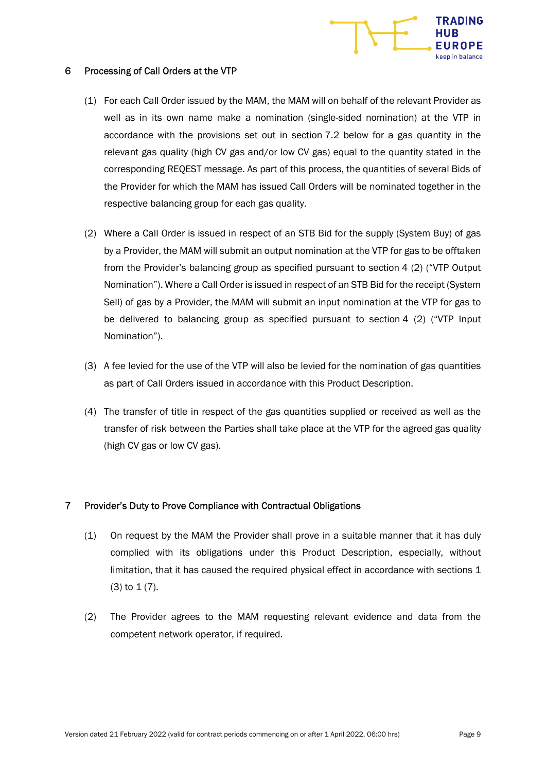

#### 6 Processing of Call Orders at the VTP

- (1) For each Call Order issued by the MAM, the MAM will on behalf of the relevant Provider as well as in its own name make a nomination (single-sided nomination) at the VTP in accordance with the provisions set out in section 7.2 below for a gas quantity in the relevant gas quality (high CV gas and/or low CV gas) equal to the quantity stated in the corresponding REQEST message. As part of this process, the quantities of several Bids of the Provider for which the MAM has issued Call Orders will be nominated together in the respective balancing group for each gas quality.
- (2) Where a Call Order is issued in respect of an STB Bid for the supply (System Buy) of gas by a Provider, the MAM will submit an output nomination at the VTP for gas to be offtaken from the Provider's balancing group as specified pursuant to section 4 (2) ("VTP Output Nomination"). Where a Call Order is issued in respect of an STB Bid for the receipt (System Sell) of gas by a Provider, the MAM will submit an input nomination at the VTP for gas to be delivered to balancing group as specified pursuant to section 4 (2) ("VTP Input Nomination").
- (3) A fee levied for the use of the VTP will also be levied for the nomination of gas quantities as part of Call Orders issued in accordance with this Product Description.
- (4) The transfer of title in respect of the gas quantities supplied or received as well as the transfer of risk between the Parties shall take place at the VTP for the agreed gas quality (high CV gas or low CV gas).

## 7 Provider's Duty to Prove Compliance with Contractual Obligations

- (1) On request by the MAM the Provider shall prove in a suitable manner that it has duly complied with its obligations under this Product Description, especially, without limitation, that it has caused the required physical effect in accordance with sections 1  $(3)$  to  $1(7)$ .
- (2) The Provider agrees to the MAM requesting relevant evidence and data from the competent network operator, if required.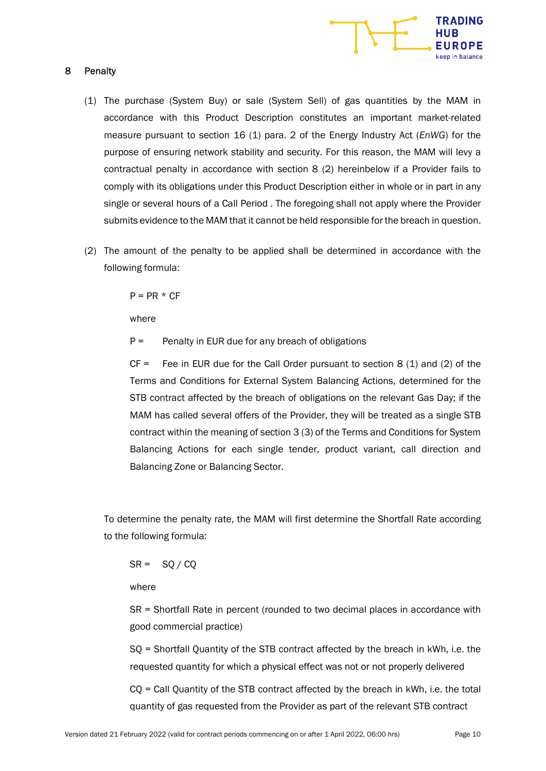

#### 8 Penalty

- (1) The purchase (System Buy) or sale (System Sell) of gas quantities by the MAM in accordance with this Product Description constitutes an important market-related measure pursuant to section 16 (1) para. 2 of the Energy Industry Act (EnWG) for the purpose of ensuring network stability and security. For this reason, the MAM will levy a contractual penalty in accordance with section 8 (2) hereinbelow if a Provider fails to comply with its obligations under this Product Description either in whole or in part in any single or several hours of a Call Period . The foregoing shall not apply where the Provider submits evidence to the MAM that it cannot be held responsible for the breach in question.
- (2) The amount of the penalty to be applied shall be determined in accordance with the following formula:

 $P = PR * CF$ 

where

 $P =$  Penalty in EUR due for any breach of obligations

 $CF =$  Fee in EUR due for the Call Order pursuant to section 8 (1) and (2) of the Terms and Conditions for External System Balancing Actions, determined for the STB contract affected by the breach of obligations on the relevant Gas Day; if the MAM has called several offers of the Provider, they will be treated as a single STB contract within the meaning of section 3 (3) of the Terms and Conditions for System Balancing Actions for each single tender, product variant, call direction and Balancing Zone or Balancing Sector.

To determine the penalty rate, the MAM will first determine the Shortfall Rate according to the following formula:

 $SR = SQ / CQ$ 

where

SR = Shortfall Rate in percent (rounded to two decimal places in accordance with good commercial practice)

SQ = Shortfall Quantity of the STB contract affected by the breach in kWh, i.e. the requested quantity for which a physical effect was not or not properly delivered

CQ = Call Quantity of the STB contract affected by the breach in kWh, i.e. the total quantity of gas requested from the Provider as part of the relevant STB contract